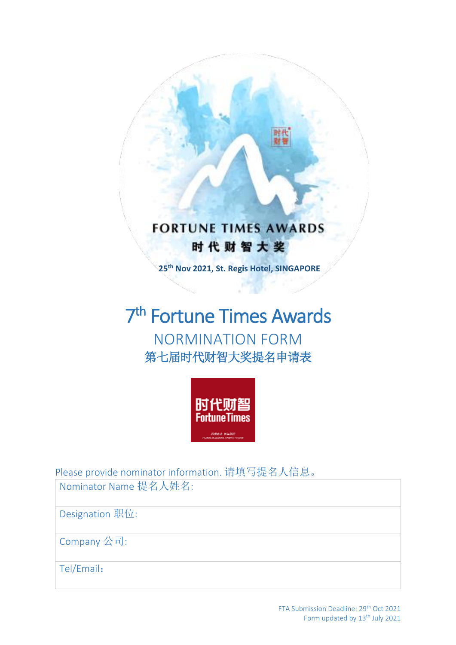



Please provide nominator information. 请填写提名人信息。

Nominator Name 提名人姓名:

Designation 职位:

Company 公司:

Tel/Email: